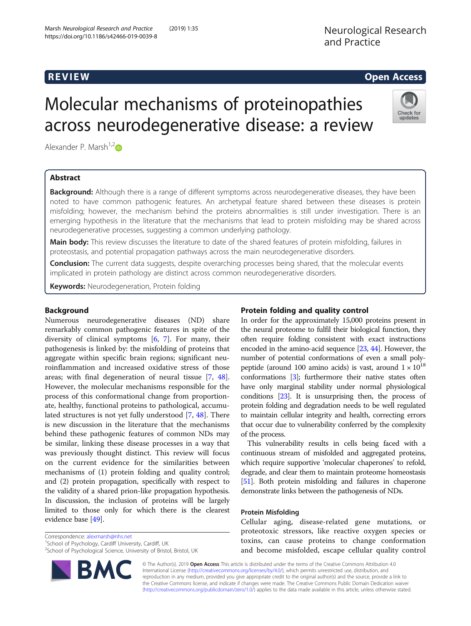## R EVI EW Open Access

Check for updates

# Molecular mechanisms of proteinopathies across neurodegenerative disease: a review

Alexander P. Marsh $1,2$ 

## Abstract

Background: Although there is a range of different symptoms across neurodegenerative diseases, they have been noted to have common pathogenic features. An archetypal feature shared between these diseases is protein misfolding; however, the mechanism behind the proteins abnormalities is still under investigation. There is an emerging hypothesis in the literature that the mechanisms that lead to protein misfolding may be shared across neurodegenerative processes, suggesting a common underlying pathology.

Main body: This review discusses the literature to date of the shared features of protein misfolding, failures in proteostasis, and potential propagation pathways across the main neurodegenerative disorders.

Conclusion: The current data suggests, despite overarching processes being shared, that the molecular events implicated in protein pathology are distinct across common neurodegenerative disorders.

Keywords: Neurodegeneration, Protein folding

## Background

Numerous neurodegenerative diseases (ND) share remarkably common pathogenic features in spite of the diversity of clinical symptoms [\[6](#page-5-0), [7\]](#page-5-0). For many, their pathogenesis is linked by: the misfolding of proteins that aggregate within specific brain regions; significant neuroinflammation and increased oxidative stress of those areas; with final degeneration of neural tissue [\[7](#page-5-0), [48](#page-6-0)]. However, the molecular mechanisms responsible for the process of this conformational change from proportionate, healthy, functional proteins to pathological, accumulated structures is not yet fully understood [[7,](#page-5-0) [48\]](#page-6-0). There is new discussion in the literature that the mechanisms behind these pathogenic features of common NDs may be similar, linking these disease processes in a way that was previously thought distinct. This review will focus on the current evidence for the similarities between mechanisms of (1) protein folding and quality control; and (2) protein propagation, specifically with respect to the validity of a shared prion-like propagation hypothesis. In discussion, the inclusion of proteins will be largely limited to those only for which there is the clearest evidence base [\[49\]](#page-6-0).

Correspondence: [alexmarsh@nhs.net](mailto:alexmarsh@nhs.net)

<sup>1</sup> School of Psychology, Cardiff University, Cardiff, UK

<sup>&</sup>lt;sup>2</sup>School of Psychological Science, University of Bristol, Bristol, UK



## Protein folding and quality control

In order for the approximately 15,000 proteins present in the neural proteome to fulfil their biological function, they often require folding consistent with exact instructions encoded in the amino-acid sequence [[23,](#page-5-0) [44](#page-6-0)]. However, the number of potential conformations of even a small polypeptide (around 100 amino acids) is vast, around  $1 \times 10^{18}$ conformations [\[3\]](#page-5-0); furthermore their native states often have only marginal stability under normal physiological conditions [\[23\]](#page-5-0). It is unsurprising then, the process of protein folding and degradation needs to be well regulated to maintain cellular integrity and health, correcting errors that occur due to vulnerability conferred by the complexity of the process.

This vulnerability results in cells being faced with a continuous stream of misfolded and aggregated proteins, which require supportive 'molecular chaperones' to refold, degrade, and clear them to maintain proteome homeostasis [[51](#page-6-0)]. Both protein misfolding and failures in chaperone demonstrate links between the pathogenesis of NDs.

## Protein Misfolding

Cellular aging, disease-related gene mutations, or proteotoxic stressors, like reactive oxygen species or toxins, can cause proteins to change conformation and become misfolded, escape cellular quality control

© The Author(s). 2019 Open Access This article is distributed under the terms of the Creative Commons Attribution 4.0 International License [\(http://creativecommons.org/licenses/by/4.0/](http://creativecommons.org/licenses/by/4.0/)), which permits unrestricted use, distribution, and reproduction in any medium, provided you give appropriate credit to the original author(s) and the source, provide a link to the Creative Commons license, and indicate if changes were made. The Creative Commons Public Domain Dedication waiver [\(http://creativecommons.org/publicdomain/zero/1.0/](http://creativecommons.org/publicdomain/zero/1.0/)) applies to the data made available in this article, unless otherwise stated.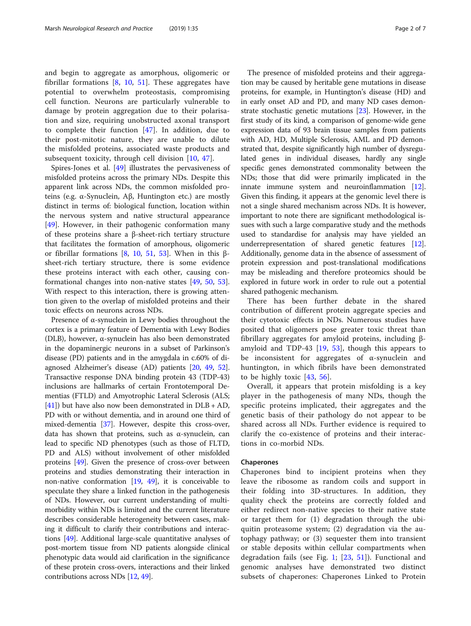and begin to aggregate as amorphous, oligomeric or fibrillar formations  $[8, 10, 51]$  $[8, 10, 51]$  $[8, 10, 51]$  $[8, 10, 51]$  $[8, 10, 51]$  $[8, 10, 51]$ . These aggregates have potential to overwhelm proteostasis, compromising cell function. Neurons are particularly vulnerable to damage by protein aggregation due to their polarisation and size, requiring unobstructed axonal transport to complete their function [[47\]](#page-6-0). In addition, due to their post-mitotic nature, they are unable to dilute the misfolded proteins, associated waste products and subsequent toxicity, through cell division [\[10](#page-5-0), [47\]](#page-6-0).

Spires-Jones et al. [[49](#page-6-0)] illustrates the pervasiveness of misfolded proteins across the primary NDs. Despite this apparent link across NDs, the common misfolded proteins (e.g. α-Synuclein, Aβ, Huntington etc.) are mostly distinct in terms of: biological function, location within the nervous system and native structural appearance [[49\]](#page-6-0). However, in their pathogenic conformation many of these proteins share a β-sheet-rich tertiary structure that facilitates the formation of amorphous, oligomeric or fibrillar formations [\[8](#page-5-0), [10,](#page-5-0) [51](#page-6-0), [53\]](#page-6-0). When in this βsheet-rich tertiary structure, there is some evidence these proteins interact with each other, causing conformational changes into non-native states [\[49](#page-6-0), [50](#page-6-0), [53](#page-6-0)]. With respect to this interaction, there is growing attention given to the overlap of misfolded proteins and their toxic effects on neurons across NDs.

Presence of α-synuclein in Lewy bodies throughout the cortex is a primary feature of Dementia with Lewy Bodies (DLB), however, α-synuclein has also been demonstrated in the dopaminergic neurons in a subset of Parkinson's disease (PD) patients and in the amygdala in c.60% of diagnosed Alzheimer's disease (AD) patients [[20](#page-5-0), [49,](#page-6-0) [52](#page-6-0)]. Transactive response DNA binding protein 43 (TDP-43) inclusions are hallmarks of certain Frontotemporal Dementias (FTLD) and Amyotrophic Lateral Sclerosis (ALS; [[41](#page-6-0)]) but have also now been demonstrated in  $DLB + AD$ , PD with or without dementia, and in around one third of mixed-dementia [\[37](#page-6-0)]. However, despite this cross-over, data has shown that proteins, such as α-synuclein, can lead to specific ND phenotypes (such as those of FLTD, PD and ALS) without involvement of other misfolded proteins [[49](#page-6-0)]. Given the presence of cross-over between proteins and studies demonstrating their interaction in non-native conformation [[19](#page-5-0), [49\]](#page-6-0), it is conceivable to speculate they share a linked function in the pathogenesis of NDs. However, our current understanding of multimorbidity within NDs is limited and the current literature describes considerable heterogeneity between cases, making it difficult to clarify their contributions and interactions [[49](#page-6-0)]. Additional large-scale quantitative analyses of post-mortem tissue from ND patients alongside clinical phenotypic data would aid clarification in the significance of these protein cross-overs, interactions and their linked contributions across NDs [\[12,](#page-5-0) [49](#page-6-0)].

The presence of misfolded proteins and their aggregation may be caused by heritable gene mutations in disease proteins, for example, in Huntington's disease (HD) and in early onset AD and PD, and many ND cases demonstrate stochastic genetic mutations [[23](#page-5-0)]. However, in the first study of its kind, a comparison of genome-wide gene expression data of 93 brain tissue samples from patients with AD, HD, Multiple Sclerosis, AML and PD demonstrated that, despite significantly high number of dysregulated genes in individual diseases, hardly any single specific genes demonstrated commonality between the NDs; those that did were primarily implicated in the innate immune system and neuroinflammation [[12](#page-5-0)]. Given this finding, it appears at the genomic level there is not a single shared mechanism across NDs. It is however, important to note there are significant methodological issues with such a large comparative study and the methods used to standardise for analysis may have yielded an underrepresentation of shared genetic features [[12](#page-5-0)]. Additionally, genome data in the absence of assessment of protein expression and post-translational modifications may be misleading and therefore proteomics should be explored in future work in order to rule out a potential shared pathogenic mechanism.

There has been further debate in the shared contribution of different protein aggregate species and their cytotoxic effects in NDs. Numerous studies have posited that oligomers pose greater toxic threat than fibrillary aggregates for amyloid proteins, including βamyloid and TDP-43 [\[19](#page-5-0), [53](#page-6-0)], though this appears to be inconsistent for aggregates of α-synuclein and huntington, in which fibrils have been demonstrated to be highly toxic [[43,](#page-6-0) [56\]](#page-6-0).

Overall, it appears that protein misfolding is a key player in the pathogenesis of many NDs, though the specific proteins implicated, their aggregates and the genetic basis of their pathology do not appear to be shared across all NDs. Further evidence is required to clarify the co-existence of proteins and their interactions in co-morbid NDs.

## Chaperones

Chaperones bind to incipient proteins when they leave the ribosome as random coils and support in their folding into 3D-structures. In addition, they quality check the proteins are correctly folded and either redirect non-native species to their native state or target them for (1) degradation through the ubiquitin proteasome system; (2) degradation via the autophagy pathway; or (3) sequester them into transient or stable deposits within cellular compartments when degradation fails (see Fig. [1;](#page-2-0) [[23,](#page-5-0) [51](#page-6-0)]). Functional and genomic analyses have demonstrated two distinct subsets of chaperones: Chaperones Linked to Protein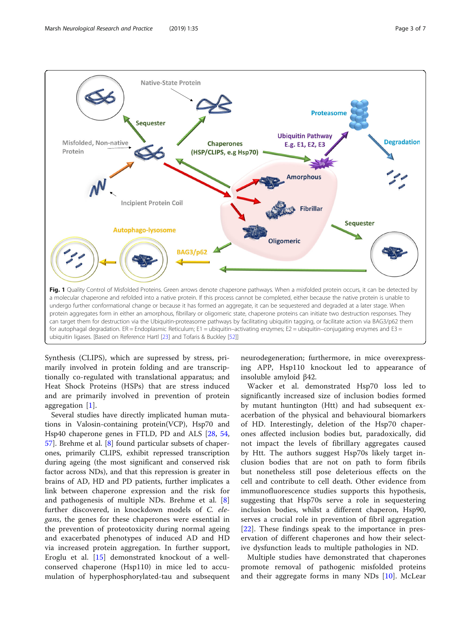<span id="page-2-0"></span>

Synthesis (CLIPS), which are supressed by stress, primarily involved in protein folding and are transcriptionally co-regulated with translational apparatus; and Heat Shock Proteins (HSPs) that are stress induced and are primarily involved in prevention of protein aggregation [\[1](#page-5-0)].

Several studies have directly implicated human mutations in Valosin-containing protein(VCP), Hsp70 and Hsp40 chaperone genes in FTLD, PD and ALS [[28](#page-5-0), [54](#page-6-0), [57\]](#page-6-0). Brehme et al. [[8\]](#page-5-0) found particular subsets of chaperones, primarily CLIPS, exhibit repressed transcription during ageing (the most significant and conserved risk factor across NDs), and that this repression is greater in brains of AD, HD and PD patients, further implicates a link between chaperone expression and the risk for and pathogenesis of multiple NDs. Brehme et al. [\[8](#page-5-0)] further discovered, in knockdown models of C. elegans, the genes for these chaperones were essential in the prevention of proteotoxicity during normal ageing and exacerbated phenotypes of induced AD and HD via increased protein aggregation. In further support, Eroglu et al. [[15\]](#page-5-0) demonstrated knockout of a wellconserved chaperone (Hsp110) in mice led to accumulation of hyperphosphorylated-tau and subsequent

neurodegeneration; furthermore, in mice overexpressing APP, Hsp110 knockout led to appearance of insoluble amyloid β42.

Wacker et al. demonstrated Hsp70 loss led to significantly increased size of inclusion bodies formed by mutant huntington (Htt) and had subsequent exacerbation of the physical and behavioural biomarkers of HD. Interestingly, deletion of the Hsp70 chaperones affected inclusion bodies but, paradoxically, did not impact the levels of fibrillary aggregates caused by Htt. The authors suggest Hsp70s likely target inclusion bodies that are not on path to form fibrils but nonetheless still pose deleterious effects on the cell and contribute to cell death. Other evidence from immunofluorescence studies supports this hypothesis, suggesting that Hsp70s serve a role in sequestering inclusion bodies, whilst a different chaperon, Hsp90, serves a crucial role in prevention of fibril aggregation [[22\]](#page-5-0). These findings speak to the importance in preservation of different chaperones and how their selective dysfunction leads to multiple pathologies in ND.

Multiple studies have demonstrated that chaperones promote removal of pathogenic misfolded proteins and their aggregate forms in many NDs [[10\]](#page-5-0). McLear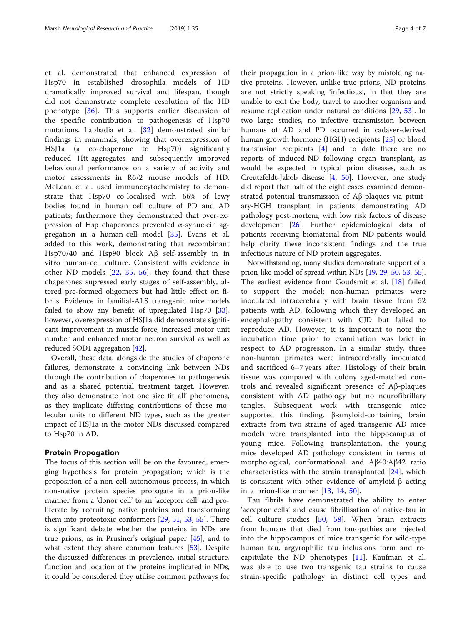et al. demonstrated that enhanced expression of Hsp70 in established drosophila models of HD dramatically improved survival and lifespan, though did not demonstrate complete resolution of the HD phenotype [[36](#page-5-0)]. This supports earlier discussion of the specific contribution to pathogenesis of Hsp70 mutations. Labbadia et al. [[32\]](#page-5-0) demonstrated similar findings in mammals, showing that overexpression of HSJ1a (a co-chaperone to Hsp70) significantly reduced Htt-aggregates and subsequently improved behavioural performance on a variety of activity and motor assessments in R6/2 mouse models of HD. McLean et al. used immunocytochemistry to demonstrate that Hsp70 co-localised with 66% of lewy bodies found in human cell culture of PD and AD patients; furthermore they demonstrated that over-expression of Hsp chaperones prevented α-synuclein aggregation in a human-cell model [\[35](#page-5-0)]. Evans et al. added to this work, demonstrating that recombinant Hsp70/40 and Hsp90 block Aβ self-assembly in in vitro human-cell culture. Consistent with evidence in other ND models [\[22](#page-5-0), [35](#page-5-0), [56\]](#page-6-0), they found that these chaperones supressed early stages of self-assembly, altered pre-formed oligomers but had little effect on fibrils. Evidence in familial-ALS transgenic mice models failed to show any benefit of upregulated Hsp70 [[33](#page-5-0)], however, overexpression of HSJ1a did demonstrate significant improvement in muscle force, increased motor unit number and enhanced motor neuron survival as well as reduced SOD1 aggregation [\[42\]](#page-6-0).

Overall, these data, alongside the studies of chaperone failures, demonstrate a convincing link between NDs through the contribution of chaperones to pathogenesis and as a shared potential treatment target. However, they also demonstrate 'not one size fit all' phenomena, as they implicate differing contributions of these molecular units to different ND types, such as the greater impact of HSJ1a in the motor NDs discussed compared to Hsp70 in AD.

## Protein Propogation

The focus of this section will be on the favoured, emerging hypothesis for protein propagation; which is the proposition of a non-cell-autonomous process, in which non-native protein species propagate in a prion-like manner from a 'donor cell' to an 'acceptor cell' and proliferate by recruiting native proteins and transforming them into proteotoxic conformers [[29,](#page-5-0) [51,](#page-6-0) [53,](#page-6-0) [55\]](#page-6-0). There is significant debate whether the proteins in NDs are true prions, as in Prusiner's original paper [[45\]](#page-6-0), and to what extent they share common features [\[53\]](#page-6-0). Despite the discussed differences in prevalence, initial structure, function and location of the proteins implicated in NDs, it could be considered they utilise common pathways for

their propagation in a prion-like way by misfolding native proteins. However, unlike true prions, ND proteins are not strictly speaking 'infectious', in that they are unable to exit the body, travel to another organism and resume replication under natural conditions [\[29](#page-5-0), [53\]](#page-6-0). In two large studies, no infective transmission between humans of AD and PD occurred in cadaver-derived human growth hormone (HGH) recipients [\[25](#page-5-0)] or blood transfusion recipients  $[4]$  $[4]$  and to date there are no reports of induced-ND following organ transplant, as would be expected in typical prion diseases, such as Creutzfeldt-Jakob disease [\[4](#page-5-0), [50](#page-6-0)]. However, one study did report that half of the eight cases examined demonstrated potential transmission of Aβ-plaques via pituitary-HGH transplant in patients demonstrating AD pathology post-mortem, with low risk factors of disease development [\[26\]](#page-5-0). Further epidemiological data of patients receiving biomaterial from ND-patients would help clarify these inconsistent findings and the true infectious nature of ND protein aggregates.

Notwithstanding, many studies demonstrate support of a prion-like model of spread within NDs [[19](#page-5-0), [29,](#page-5-0) [50](#page-6-0), [53,](#page-6-0) [55](#page-6-0)]. The earliest evidence from Goudsmit et al. [[18\]](#page-5-0) failed to support the model; non-human primates were inoculated intracerebrally with brain tissue from 52 patients with AD, following which they developed an encephalopathy consistent with CJD but failed to reproduce AD. However, it is important to note the incubation time prior to examination was brief in respect to AD progression. In a similar study, three non-human primates were intracerebrally inoculated and sacrificed 6–7 years after. Histology of their brain tissue was compared with colony aged-matched controls and revealed significant presence of Aβ-plaques consistent with AD pathology but no neurofibrillary tangles. Subsequent work with transgenic mice supported this finding. β-amyloid-containing brain extracts from two strains of aged transgenic AD mice models were transplanted into the hippocampus of young mice. Following transplantation, the young mice developed AD pathology consistent in terms of morphological, conformational, and Aβ40:Aβ42 ratio characteristics with the strain transplanted [\[24](#page-5-0)], which is consistent with other evidence of amyloid-β acting in a prion-like manner [\[13](#page-5-0), [14](#page-5-0), [50\]](#page-6-0).

Tau fibrils have demonstrated the ability to enter 'acceptor cells' and cause fibrillisation of native-tau in cell culture studies [\[50](#page-6-0), [58\]](#page-6-0). When brain extracts from humans that died from tauopathies are injected into the hippocampus of mice transgenic for wild-type human tau, argyrophilic tau inclusions form and recapitulate the ND phenotypes  $[11]$  $[11]$ . Kaufman et al. was able to use two transgenic tau strains to cause strain-specific pathology in distinct cell types and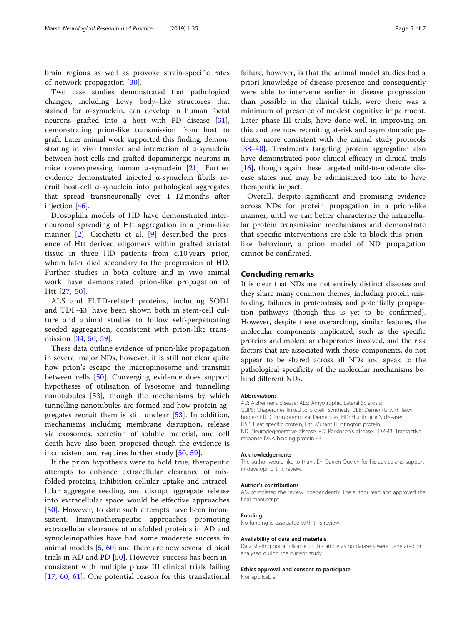brain regions as well as provoke strain-specific rates of network propagation [[30\]](#page-5-0).

Two case studies demonstrated that pathological changes, including Lewy body–like structures that stained for α-synuclein, can develop in human foetal neurons grafted into a host with PD disease [\[31](#page-5-0)], demonstrating prion-like transmission from host to graft. Later animal work supported this finding, demonstrating in vivo transfer and interaction of α-synuclein between host cells and grafted dopaminergic neurons in mice overexpressing human α-synuclein [[21\]](#page-5-0). Further evidence demonstrated injected α-synuclein fibrils recruit host-cell α-synuclein into pathological aggregates that spread transneuronally over 1–12 months after injection [\[46](#page-6-0)].

Drosophila models of HD have demonstrated interneuronal spreading of Htt aggregation in a prion-like manner [[2](#page-5-0)]. Cicchetti et al. [\[9](#page-5-0)] described the presence of Htt derived oligomers within grafted striatal tissue in three HD patients from c.10 years prior, whom later died secondary to the progression of HD. Further studies in both culture and in vivo animal work have demonstrated prion-like propagation of Htt [\[27](#page-5-0), [50\]](#page-6-0).

ALS and FLTD-related proteins, including SOD1 and TDP-43, have been shown both in stem-cell culture and animal studies to follow self-perpetuating seeded aggregation, consistent with prion-like trans-mission [[34,](#page-5-0) [50](#page-6-0), [59\]](#page-6-0).

These data outline evidence of prion-like propagation in several major NDs, however, it is still not clear quite how prion's escape the macropinosome and transmit between cells [[50\]](#page-6-0). Converging evidence does support hypotheses of utilisation of lysosome and tunnelling nanotubules [[53\]](#page-6-0), though the mechanisms by which tunnelling nanotubules are formed and how protein aggregates recruit them is still unclear [\[53](#page-6-0)]. In addition, mechanisms including membrane disruption, release via exosomes, secretion of soluble material, and cell death have also been proposed though the evidence is inconsistent and requires further study [\[50](#page-6-0), [59\]](#page-6-0).

If the prion hypothesis were to hold true, therapeutic attempts to enhance extracellular clearance of misfolded proteins, inhibition cellular uptake and intracellular aggregate seeding, and disrupt aggregate release into extracellular space would be effective approaches [[50\]](#page-6-0). However, to date such attempts have been inconsistent. Immunotherapeutic approaches promoting extracellular clearance of misfolded proteins in AD and synucleinopathies have had some moderate success in animal models [[5,](#page-5-0) [60](#page-6-0)] and there are now several clinical trials in AD and PD [[50\]](#page-6-0). However, success has been inconsistent with multiple phase III clinical trials failing [[17,](#page-5-0) [60,](#page-6-0) [61\]](#page-6-0). One potential reason for this translational

failure, however, is that the animal model studies had a priori knowledge of disease presence and consequently were able to intervene earlier in disease progression than possible in the clinical trials, were there was a minimum of presence of modest cognitive impairment. Later phase III trials, have done well in improving on this and are now recruiting at-risk and asymptomatic patients, more consistent with the animal study protocols

[[38](#page-6-0)–[40\]](#page-6-0). Treatments targeting protein aggregation also have demonstrated poor clinical efficacy in clinical trials [[16](#page-5-0)], though again these targeted mild-to-moderate disease states and may be administered too late to have therapeutic impact.

Overall, despite significant and promising evidence across NDs for protein propagation in a prion-like manner, until we can better characterise the intracellular protein transmission mechanisms and demonstrate that specific interventions are able to block this prionlike behaviour, a prion model of ND propagation cannot be confirmed.

### Concluding remarks

It is clear that NDs are not entirely distinct diseases and they share many common themes, including protein misfolding, failures in proteostasis, and potentially propagation pathways (though this is yet to be confirmed). However, despite these overarching, similar features, the molecular components implicated, such as the specific proteins and molecular chaperones involved, and the risk factors that are associated with those components, do not appear to be shared across all NDs and speak to the pathological specificity of the molecular mechanisms behind different NDs.

#### Abbreviations

AD: Alzheimer's disease; ALS: Amyotrophic Lateral Sclerosis; CLIPS: Chaperones linked to protein synthesis; DLB: Dementia with lewy bodies; FTLD: Frontotemporal Dementias; HD: Huntington's disease; HSP: Heat specific protein; Htt: Mutant Huntington protein; ND: Neurodegenerative disease; PD: Parkinson's disease; TDP-43: Transactive response DNA binding protein 43

#### Acknowledgements

The author would like to thank Dr. Darren Quelch for his advice and support in developing this review.

#### Author's contributions

AM completed the review independently. The author read and approved the final manuscript.

### Funding

No funding is associated with this review.

#### Availability of data and materials

Data sharing not applicable to this article as no datasets were generated or analysed during the current study.

## Ethics approval and consent to participate

Not applicable.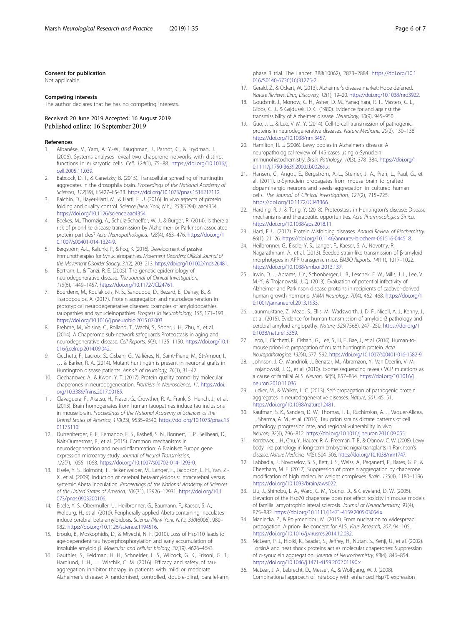#### <span id="page-5-0"></span>Consent for publication

Not applicable.

#### Competing interests

The author declares that he has no competing interests.

#### Received: 20 June 2019 Accepted: 16 August 2019 Published online: 16 September 2019

#### References

- 1. Albanèse, V., Yam, A. Y.-W., Baughman, J., Parnot, C., & Frydman, J. (2006). Systems analyses reveal two chaperone networks with distinct functions in eukaryotic cells. Cell, 124(1), 75–88. [https://doi.org/10.1016/j.](https://doi.org/10.1016/j.cell.2005.11.039) [cell.2005.11.039.](https://doi.org/10.1016/j.cell.2005.11.039)
- 2. Babcock, D. T., & Ganetzky, B. (2015). Transcellular spreading of huntingtin aggregates in the drosophila brain. Proceedings of the National Academy of Sciences, 112(39), E5427–E5433. [https://doi.org/10.1073/pnas.1516217112.](https://doi.org/10.1073/pnas.1516217112)
- Balchin, D., Hayer-Hartl, M., & Hartl, F. U. (2016). In vivo aspects of protein folding and quality control. Science (New York, N.Y.), 353(6294), aac4354. <https://doi.org/10.1126/science.aac4354>.
- 4. Beekes, M., Thomzig, A., Schulz-Schaeffer, W. J., & Burger, R. (2014). Is there a risk of prion-like disease transmission by Alzheimer- or Parkinson-associated protein particles? Acta Neuropathologica, 128(4), 463–476. [https://doi.org/1](https://doi.org/10.1007/s00401-014-1324-9) [0.1007/s00401-014-1324-9.](https://doi.org/10.1007/s00401-014-1324-9)
- 5. Bergström, A.-L., Kallunki, P., & Fog, K. (2016). Development of passive immunotherapies for Synucleinopathies. Movement Disorders: Official Journal of the Movement Disorder Society, 31(2), 203–213. <https://doi.org/10.1002/mds.26481>.
- 6. Bertram, L., & Tanzi, R. E. (2005). The genetic epidemiology of neurodegenerative disease. The Journal of Clinical Investigation, 115(6), 1449–1457. <https://doi.org/10.1172/JCI24761>.
- 7. Bourdenx, M., Koulakiotis, N. S., Sanoudou, D., Bezard, E., Dehay, B., & Tsarbopoulos, A. (2017). Protein aggregation and neurodegeneration in prototypical neurodegenerative diseases: Examples of amyloidopathies, tauopathies and synucleinopathies. Progress in Neurobiology, 155, 171–193. [https://doi.org/10.1016/j.pneurobio.2015.07.003.](https://doi.org/10.1016/j.pneurobio.2015.07.003)
- Brehme, M., Voisine, C., Rolland, T., Wachi, S., Soper, J. H., Zhu, Y., et al. (2014). A Chaperome sub-network safeguards Proteostasis in aging and neurodegenerative disease. Cell Reports, 9(3), 1135–1150. [https://doi.org/10.1](https://doi.org/10.1016/j.celrep.2014.09.042) [016/j.celrep.2014.09.042.](https://doi.org/10.1016/j.celrep.2014.09.042)
- 9. Cicchetti, F., Lacroix, S., Cisbani, G., Vallières, N., Saint-Pierre, M., St-Amour, I., … & Barker, R. A. (2014). Mutant huntingtin is present in neuronal grafts in Huntington disease patients. Annals of neurology, 76(1), 31–42.
- 10. Ciechanover, A., & Kwon, Y. T. (2017). Protein quality control by molecular chaperones in neurodegeneration. Frontiers in Neuroscience, 11. [https://doi.](https://doi.org/10.3389/fnins.2017.00185) [org/10.3389/fnins.2017.00185.](https://doi.org/10.3389/fnins.2017.00185)
- 11. Clavaguera, F., Akatsu, H., Fraser, G., Crowther, R. A., Frank, S., Hench, J., et al. (2013). Brain homogenates from human tauopathies induce tau inclusions in mouse brain. Proceedings of the National Academy of Sciences of the United States of America, 110(23), 9535–9540. [https://doi.org/10.1073/pnas.13](https://doi.org/10.1073/pnas.1301175110) [01175110](https://doi.org/10.1073/pnas.1301175110).
- 12. Durrenberger, P. F., Fernando, F. S., Kashefi, S. N., Bonnert, T. P., Seilhean, D., Nait-Oumesmar, B., et al. (2015). Common mechanisms in neurodegeneration and neuroinflammation: A BrainNet Europe gene expression microarray study. Journal of Neural Transmission, 122(7), 1055–1068. [https://doi.org/10.1007/s00702-014-1293-0.](https://doi.org/10.1007/s00702-014-1293-0)
- 13. Eisele, Y. S., Bolmont, T., Heikenwalder, M., Langer, F., Jacobson, L. H., Yan, Z.- X., et al. (2009). Induction of cerebral beta-amyloidosis: Intracerebral versus systemic Abeta inoculation. Proceedings of the National Academy of Sciences of the United States of America, 106(31), 12926–12931. [https://doi.org/10.1](https://doi.org/10.1073/pnas.0903200106) [073/pnas.0903200106](https://doi.org/10.1073/pnas.0903200106).
- 14. Eisele, Y. S., Obermüller, U., Heilbronner, G., Baumann, F., Kaeser, S. A., Wolburg, H., et al. (2010). Peripherally applied Abeta-containing inoculates induce cerebral beta-amyloidosis. Science (New York, N.Y.), 330(6006), 980– 982. <https://doi.org/10.1126/science.1194516>.
- 15. Eroglu, B., Moskophidis, D., & Mivechi, N. F. (2010). Loss of Hsp110 leads to age-dependent tau hyperphosphorylation and early accumulation of insoluble amyloid β. Molecular and cellular biology, 30(19), 4626–4643.
- 16. Gauthier, S., Feldman, H. H., Schneider, L. S., Wilcock, G. K., Frisoni, G. B., Hardlund, J. H., … Wischik, C. M. (2016). Efficacy and safety of tauaggregation inhibitor therapy in patients with mild or moderate Alzheimer's disease: A randomised, controlled, double-blind, parallel-arm,

phase 3 trial. The Lancet, 388(10062), 2873–2884. [https://doi.org/10.1](https://doi.org/10.1016/S0140-6736(16)31275-2) [016/S0140-6736\(16\)31275-2](https://doi.org/10.1016/S0140-6736(16)31275-2).

- 17. Gerald, Z., & Ockert, W. (2013). Alzheimer's disease market: Hope deferred. Nature Reviews. Drug Discovery, 12(1), 19–20. [https://doi.org/10.1038/nrd3922.](https://doi.org/10.1038/nrd3922)
- 18. Goudsmit, J., Morrow, C. H., Asher, D. M., Yanagihara, R. T., Masters, C. L., Gibbs, C. J., & Gajdusek, D. C. (1980). Evidence for and against the transmissibility of Alzheimer disease. Neurology, 30(9), 945–950.
- 19. Guo, J. L., & Lee, V. M. Y. (2014). Cell-to-cell transmission of pathogenic proteins in neurodegenerative diseases. Nature Medicine, 20(2), 130–138. <https://doi.org/10.1038/nm.3457>.
- 20. Hamilton, R. L. (2006). Lewy bodies in Alzheimer's disease: A neuropathological review of 145 cases using α-Synuclein immunohistochemistry. Brain Pathology, 10(3), 378–384. [https://doi.org/1](https://doi.org/10.1111/j.1750-3639.2000.tb00269.x) [0.1111/j.1750-3639.2000.tb00269.x.](https://doi.org/10.1111/j.1750-3639.2000.tb00269.x)
- 21. Hansen, C., Angot, E., Bergström, A.-L., Steiner, J. A., Pieri, L., Paul, G., et al. (2011). α-Synuclein propagates from mouse brain to grafted dopaminergic neurons and seeds aggregation in cultured human cells. The Journal of Clinical Investigation, 121(2), 715–725. [https://doi.org/10.1172/JCI43366.](https://doi.org/10.1172/JCI43366)
- 22. Harding, R. J., & Tong, Y. (2018). Proteostasis in Huntington's disease: Disease mechanisms and therapeutic opportunities. Acta Pharmacologica Sinica. <https://doi.org/10.1038/aps.2018.11>.
- 23. Hartl, F. U. (2017). Protein Misfolding diseases. Annual Review of Biochemistry, 86(1), 21–26. [https://doi.org/10.1146/annurev-biochem-061516-044518.](https://doi.org/10.1146/annurev-biochem-061516-044518)
- 24. Heilbronner, G., Eisele, Y. S., Langer, F., Kaeser, S. A., Novotny, R., Nagarathinam, A., et al. (2013). Seeded strain-like transmission of β-amyloid morphotypes in APP transgenic mice. EMBO Reports, 14(11), 1017–1022. <https://doi.org/10.1038/embor.2013.137>.
- 25. Irwin, D. J., Abrams, J. Y., Schonberger, L. B., Leschek, E. W., Mills, J. L., Lee, V. M.-Y., & Trojanowski, J. Q. (2013). Evaluation of potential infectivity of Alzheimer and Parkinson disease proteins in recipients of cadaver-derived human growth hormone. JAMA Neurology, 70(4), 462–468. [https://doi.org/1](https://doi.org/10.1001/jamaneurol.2013.1933) [0.1001/jamaneurol.2013.1933](https://doi.org/10.1001/jamaneurol.2013.1933).
- 26. Jaunmuktane, Z., Mead, S., Ellis, M., Wadsworth, J. D. F., Nicoll, A. J., Kenny, J., et al. (2015). Evidence for human transmission of amyloid-β pathology and cerebral amyloid angiopathy. Nature, 525(7568), 247–250. [https://doi.org/1](https://doi.org/10.1038/nature15369) [0.1038/nature15369.](https://doi.org/10.1038/nature15369)
- 27. Jeon, I., Cicchetti, F., Cisbani, G., Lee, S., Li, E., Bae, J., et al. (2016). Human-tomouse prion-like propagation of mutant huntingtin protein. Acta Neuropathologica, 132(4), 577–592. <https://doi.org/10.1007/s00401-016-1582-9>.
- 28. Johnson, J. O., Mandrioli, J., Benatar, M., Abramzon, Y., Van Deerlin, V. M., Trojanowski, J. Q., et al. (2010). Exome sequencing reveals VCP mutations as a cause of familial ALS. Neuron, 68(5), 857–864. [https://doi.org/10.1016/j.](https://doi.org/10.1016/j.neuron.2010.11.036) [neuron.2010.11.036.](https://doi.org/10.1016/j.neuron.2010.11.036)
- 29. Jucker, M., & Walker, L. C. (2013). Self-propagation of pathogenic protein aggregates in neurodegenerative diseases. Nature, 501, 45–51. <https://doi.org/10.1038/nature12481>.
- 30. Kaufman, S. K., Sanders, D. W., Thomas, T. L., Ruchinskas, A. J., Vaquer-Alicea, J., Sharma, A. M., et al. (2016). Tau prion strains dictate patterns of cell pathology, progression rate, and regional vulnerability in vivo. Neuron, 92(4), 796–812. <https://doi.org/10.1016/j.neuron.2016.09.055>.
- 31. Kordower, J. H., Chu, Y., Hauser, R. A., Freeman, T. B., & Olanow, C. W. (2008). Lewy body–like pathology in long-term embryonic nigral transplants in Parkinson's disease. Nature Medicine, 14(5), 504–506. [https://doi.org/10.1038/nm1747.](https://doi.org/10.1038/nm1747)
- 32. Labbadia, J., Novoselov, S. S., Bett, J. S., Weiss, A., Paganetti, P., Bates, G. P., & Cheetham, M. E. (2012). Suppression of protein aggregation by chaperone modification of high molecular weight complexes. Brain, 135(4), 1180–1196. [https://doi.org/10.1093/brain/aws022.](https://doi.org/10.1093/brain/aws022)
- 33. Liu, J., Shinobu, L. A., Ward, C. M., Young, D., & Cleveland, D. W. (2005). Elevation of the Hsp70 chaperone does not effect toxicity in mouse models of familial amyotrophic lateral sclerosis. Journal of Neurochemistry, 93(4), 875–882. [https://doi.org/10.1111/j.1471-4159.2005.03054.x.](https://doi.org/10.1111/j.1471-4159.2005.03054.x)
- 34. Maniecka, Z., & Polymenidou, M. (2015). From nucleation to widespread propagation: A prion-like concept for ALS. Virus Research, 207, 94–105. <https://doi.org/10.1016/j.virusres.2014.12.032>.
- 35. McLean, P. J., Hibiki, K., Saadat, S., Jeffrey, H., Nutan, S., Kenji, U., et al. (2002). TorsinA and heat shock proteins act as molecular chaperones: Suppression of α-synuclein aggregation. Journal of Neurochemistry, 83(4), 846–854. <https://doi.org/10.1046/j.1471-4159.2002.01190.x>.
- 36. McLear, J. A., Lebrecht, D., Messer, A., & Wolfgang, W. J. (2008). Combinational approach of intrabody with enhanced Hsp70 expression